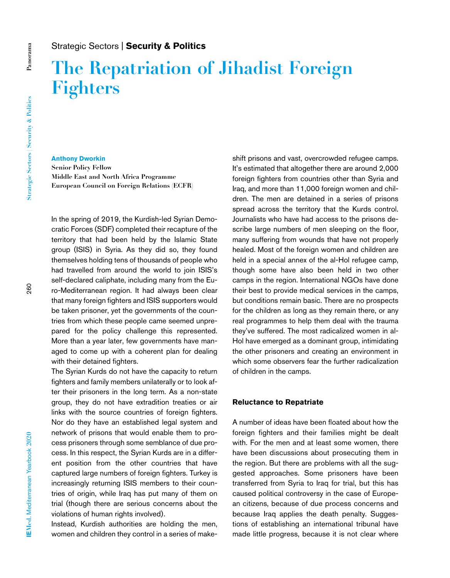# **The Repatriation of Jihadist Foreign Fighters**

## **Anthony Dworkin**

**Senior Policy Fellow Middle East and North Africa Programme European Council on Foreign Relations (ECFR)**

In the spring of 2019, the Kurdish-led Syrian Democratic Forces (SDF) completed their recapture of the territory that had been held by the Islamic State group (ISIS) in Syria. As they did so, they found themselves holding tens of thousands of people who had travelled from around the world to join ISIS's self-declared caliphate, including many from the Euro-Mediterranean region. It had always been clear that many foreign fighters and ISIS supporters would be taken prisoner, yet the governments of the countries from which these people came seemed unprepared for the policy challenge this represented. More than a year later, few governments have managed to come up with a coherent plan for dealing with their detained fighters.

The Syrian Kurds do not have the capacity to return fighters and family members unilaterally or to look after their prisoners in the long term. As a non-state group, they do not have extradition treaties or air links with the source countries of foreign fighters. Nor do they have an established legal system and network of prisons that would enable them to process prisoners through some semblance of due process. In this respect, the Syrian Kurds are in a different position from the other countries that have captured large numbers of foreign fighters. Turkey is increasingly returning ISIS members to their countries of origin, while Iraq has put many of them on trial (though there are serious concerns about the violations of human rights involved).

Instead, Kurdish authorities are holding the men, women and children they control in a series of makeshift prisons and vast, overcrowded refugee camps. It's estimated that altogether there are around 2,000 foreign fighters from countries other than Syria and Iraq, and more than 11,000 foreign women and children. The men are detained in a series of prisons spread across the territory that the Kurds control. Journalists who have had access to the prisons describe large numbers of men sleeping on the floor, many suffering from wounds that have not properly healed. Most of the foreign women and children are held in a special annex of the al-Hol refugee camp, though some have also been held in two other camps in the region. International NGOs have done their best to provide medical services in the camps, but conditions remain basic. There are no prospects for the children as long as they remain there, or any real programmes to help them deal with the trauma they've suffered. The most radicalized women in al-Hol have emerged as a dominant group, intimidating the other prisoners and creating an environment in which some observers fear the further radicalization of children in the camps.

#### **Reluctance to Repatriate**

A number of ideas have been floated about how the foreign fighters and their families might be dealt with. For the men and at least some women, there have been discussions about prosecuting them in the region. But there are problems with all the suggested approaches. Some prisoners have been transferred from Syria to Iraq for trial, but this has caused political controversy in the case of European citizens, because of due process concerns and because Iraq applies the death penalty. Suggestions of establishing an international tribunal have made little progress, because it is not clear where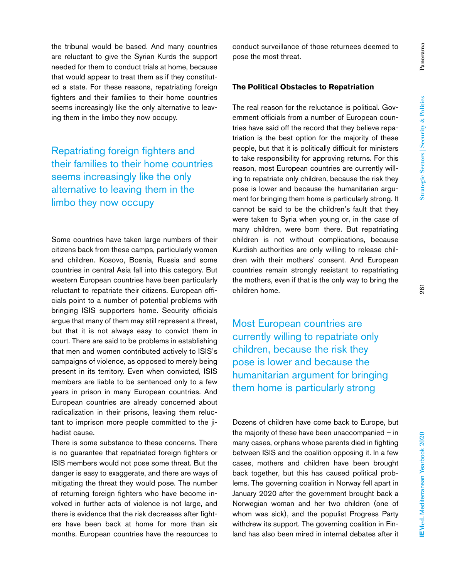the tribunal would be based. And many countries are reluctant to give the Syrian Kurds the support needed for them to conduct trials at home, because that would appear to treat them as if they constituted a state. For these reasons, repatriating foreign fighters and their families to their home countries seems increasingly like the only alternative to leaving them in the limbo they now occupy.

Repatriating foreign fighters and their families to their home countries seems increasingly like the only alternative to leaving them in the limbo they now occupy

Some countries have taken large numbers of their citizens back from these camps, particularly women and children. Kosovo, Bosnia, Russia and some countries in central Asia fall into this category. But western European countries have been particularly reluctant to repatriate their citizens. European officials point to a number of potential problems with bringing ISIS supporters home. Security officials argue that many of them may still represent a threat, but that it is not always easy to convict them in court. There are said to be problems in establishing that men and women contributed actively to ISIS's campaigns of violence, as opposed to merely being present in its territory. Even when convicted, ISIS members are liable to be sentenced only to a few years in prison in many European countries. And European countries are already concerned about radicalization in their prisons, leaving them reluctant to imprison more people committed to the jihadist cause.

There is some substance to these concerns. There is no guarantee that repatriated foreign fighters or ISIS members would not pose some threat. But the danger is easy to exaggerate, and there are ways of mitigating the threat they would pose. The number of returning foreign fighters who have become involved in further acts of violence is not large, and there is evidence that the risk decreases after fighters have been back at home for more than six months. European countries have the resources to

conduct surveillance of those returnees deemed to pose the most threat.

### **The Political Obstacles to Repatriation**

The real reason for the reluctance is political. Government officials from a number of European countries have said off the record that they believe repatriation is the best option for the majority of these people, but that it is politically difficult for ministers to take responsibility for approving returns. For this reason, most European countries are currently willing to repatriate only children, because the risk they pose is lower and because the humanitarian argument for bringing them home is particularly strong. It cannot be said to be the children's fault that they were taken to Syria when young or, in the case of many children, were born there. But repatriating children is not without complications, because Kurdish authorities are only willing to release children with their mothers' consent. And European countries remain strongly resistant to repatriating the mothers, even if that is the only way to bring the children home.

Most European countries are currently willing to repatriate only children, because the risk they pose is lower and because the humanitarian argument for bringing them home is particularly strong

Dozens of children have come back to Europe, but the majority of these have been unaccompanied – in many cases, orphans whose parents died in fighting between ISIS and the coalition opposing it. In a few cases, mothers and children have been brought back together, but this has caused political problems. The governing coalition in Norway fell apart in January 2020 after the government brought back a Norwegian woman and her two children (one of whom was sick), and the populist Progress Party withdrew its support. The governing coalition in Finland has also been mired in internal debates after it